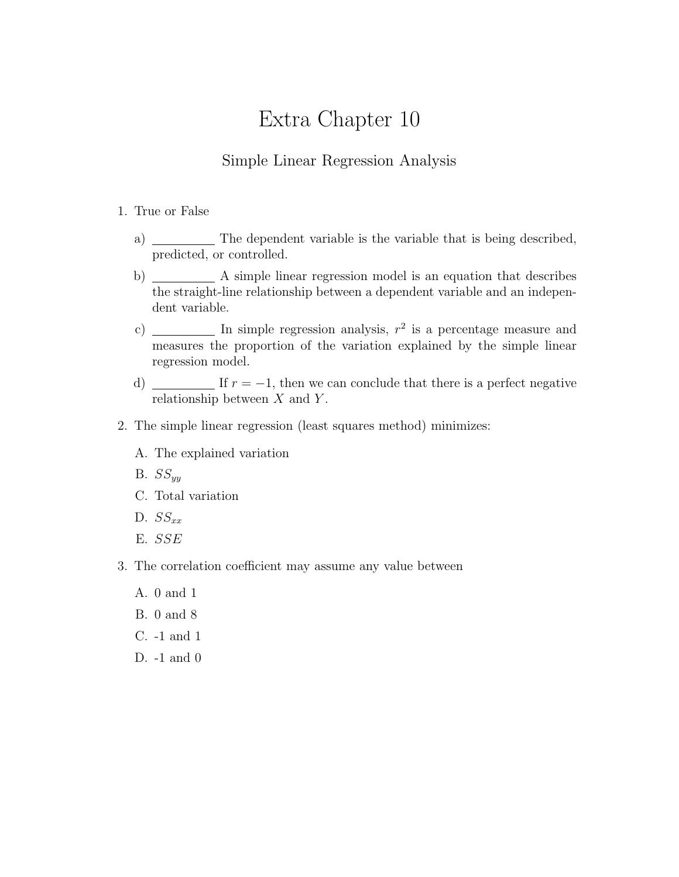## Extra Chapter 10

## Simple Linear Regression Analysis

## 1. True or False

- a) The dependent variable is the variable that is being described, predicted, or controlled.
- b) A simple linear regression model is an equation that describes the straight-line relationship between a dependent variable and an independent variable.
- c)  $\frac{1}{\sqrt{1-\frac{1}{\sqrt{1-\frac{1}{\sqrt{1-\frac{1}{\sqrt{1-\frac{1}{\sqrt{1-\frac{1}{\sqrt{1-\frac{1}{\sqrt{1-\frac{1}{\sqrt{1-\frac{1}{\sqrt{1-\frac{1}{\sqrt{1-\frac{1}{\sqrt{1-\frac{1}{\sqrt{1-\frac{1}{\sqrt{1-\frac{1}{\sqrt{1-\frac{1}{\sqrt{1-\frac{1}{\sqrt{1-\frac{1}{\sqrt{1-\frac{1}{\sqrt{1-\frac{1}{\sqrt{1-\frac{1}{\sqrt{1-\frac{1}{\sqrt{1-\frac{1}{\sqrt{1-\frac{1}{\sqrt{1-\frac{1}{\sqrt{1-\$ measures the proportion of the variation explained by the simple linear regression model.
- d)  $\blacksquare$  If  $r = -1$ , then we can conclude that there is a perfect negative relationship between  $X$  and  $Y$ .
- 2. The simple linear regression (least squares method) minimizes:
	- A. The explained variation
	- B.  $SS_{uu}$
	- C. Total variation
	- D.  $SS_{xx}$
	- E. SSE
- 3. The correlation coefficient may assume any value between
	- A. 0 and 1
	- B. 0 and 8
	- C. -1 and 1
	- D. -1 and 0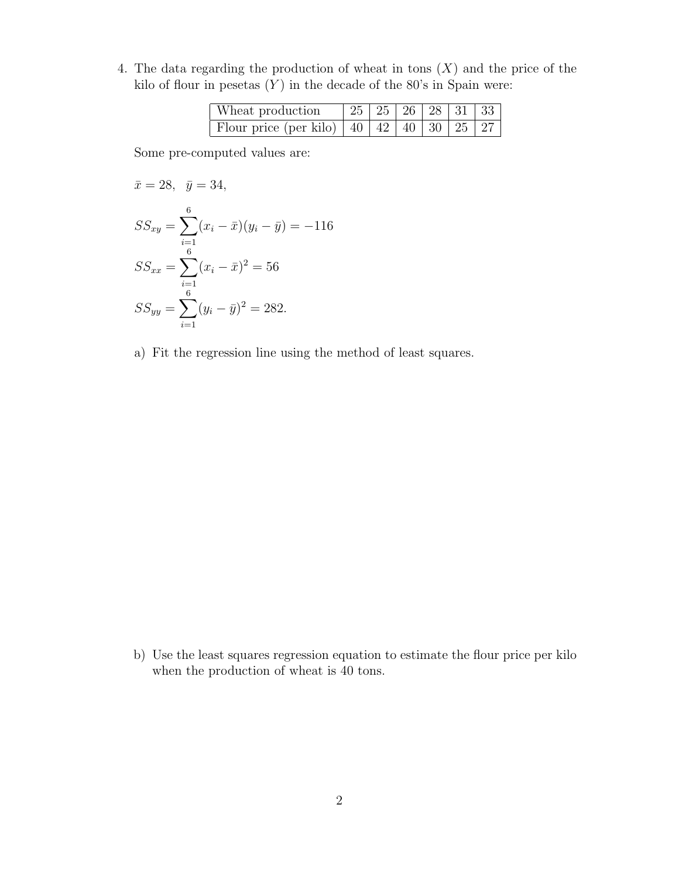4. The data regarding the production of wheat in tons  $(X)$  and the price of the kilo of flour in pesetas  $(Y)$  in the decade of the 80's in Spain were:

| Wheat production                                       | 25   25   26   28   31   33 |  |  |  |
|--------------------------------------------------------|-----------------------------|--|--|--|
| Flour price $(per kilo)$   40   42   40   30   25   27 |                             |  |  |  |

Some pre-computed values are:

$$
\bar{x} = 28, \quad \bar{y} = 34,
$$
  
\n
$$
SS_{xy} = \sum_{i=1}^{6} (x_i - \bar{x})(y_i - \bar{y}) = -116
$$
  
\n
$$
SS_{xx} = \sum_{i=1}^{6} (x_i - \bar{x})^2 = 56
$$
  
\n
$$
SS_{yy} = \sum_{i=1}^{6} (y_i - \bar{y})^2 = 282.
$$

a) Fit the regression line using the method of least squares.

b) Use the least squares regression equation to estimate the flour price per kilo when the production of wheat is 40 tons.